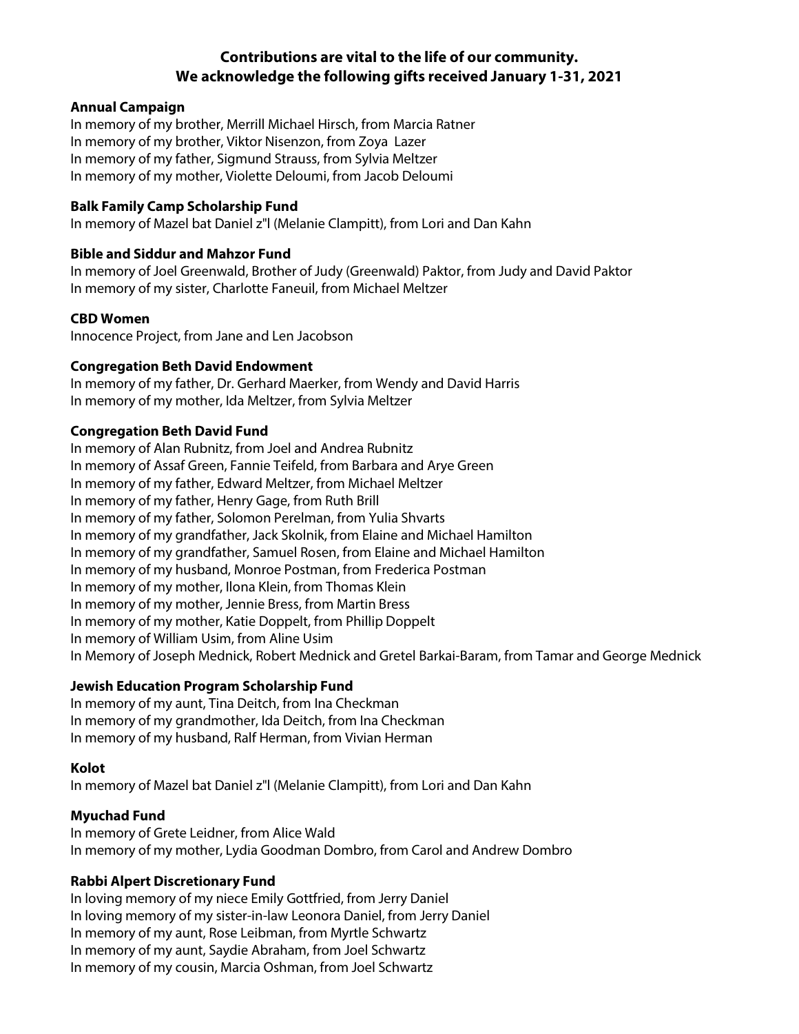# **Contributions are vital to the life of our community. We acknowledge the following gifts received January 1-31, 2021**

# **Annual Campaign**

In memory of my brother, Merrill Michael Hirsch, from Marcia Ratner In memory of my brother, Viktor Nisenzon, from Zoya Lazer In memory of my father, Sigmund Strauss, from Sylvia Meltzer In memory of my mother, Violette Deloumi, from Jacob Deloumi

#### **Balk Family Camp Scholarship Fund**

In memory of Mazel bat Daniel z"l (Melanie Clampitt), from Lori and Dan Kahn

# **Bible and Siddur and Mahzor Fund**

In memory of Joel Greenwald, Brother of Judy (Greenwald) Paktor, from Judy and David Paktor In memory of my sister, Charlotte Faneuil, from Michael Meltzer

# **CBD Women**

Innocence Project, from Jane and Len Jacobson

# **Congregation Beth David Endowment**

In memory of my father, Dr. Gerhard Maerker, from Wendy and David Harris In memory of my mother, Ida Meltzer, from Sylvia Meltzer

# **Congregation Beth David Fund**

In memory of Alan Rubnitz, from Joel and Andrea Rubnitz In memory of Assaf Green, Fannie Teifeld, from Barbara and Arye Green In memory of my father, Edward Meltzer, from Michael Meltzer In memory of my father, Henry Gage, from Ruth Brill In memory of my father, Solomon Perelman, from Yulia Shvarts In memory of my grandfather, Jack Skolnik, from Elaine and Michael Hamilton In memory of my grandfather, Samuel Rosen, from Elaine and Michael Hamilton In memory of my husband, Monroe Postman, from Frederica Postman In memory of my mother, Ilona Klein, from Thomas Klein In memory of my mother, Jennie Bress, from Martin Bress In memory of my mother, Katie Doppelt, from Phillip Doppelt In memory of William Usim, from Aline Usim In Memory of Joseph Mednick, Robert Mednick and Gretel Barkai-Baram, from Tamar and George Mednick

# **Jewish Education Program Scholarship Fund**

In memory of my aunt, Tina Deitch, from Ina Checkman In memory of my grandmother, Ida Deitch, from Ina Checkman In memory of my husband, Ralf Herman, from Vivian Herman

#### **Kolot**

In memory of Mazel bat Daniel z"l (Melanie Clampitt), from Lori and Dan Kahn

# **Myuchad Fund**

In memory of Grete Leidner, from Alice Wald In memory of my mother, Lydia Goodman Dombro, from Carol and Andrew Dombro

#### **Rabbi Alpert Discretionary Fund**

In loving memory of my niece Emily Gottfried, from Jerry Daniel In loving memory of my sister-in-law Leonora Daniel, from Jerry Daniel In memory of my aunt, Rose Leibman, from Myrtle Schwartz In memory of my aunt, Saydie Abraham, from Joel Schwartz In memory of my cousin, Marcia Oshman, from Joel Schwartz